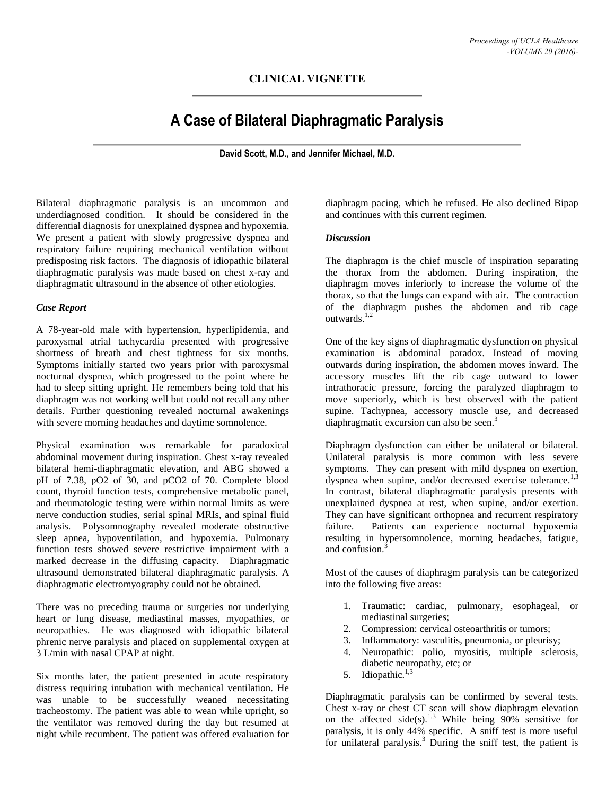## **CLINICAL VIGNETTE**

# **A Case of Bilateral Diaphragmatic Paralysis**

**David Scott, M.D., and Jennifer Michael, M.D.**

Bilateral diaphragmatic paralysis is an uncommon and underdiagnosed condition. It should be considered in the differential diagnosis for unexplained dyspnea and hypoxemia. We present a patient with slowly progressive dyspnea and respiratory failure requiring mechanical ventilation without predisposing risk factors. The diagnosis of idiopathic bilateral diaphragmatic paralysis was made based on chest x-ray and diaphragmatic ultrasound in the absence of other etiologies.

### *Case Report*

A 78-year-old male with hypertension, hyperlipidemia, and paroxysmal atrial tachycardia presented with progressive shortness of breath and chest tightness for six months. Symptoms initially started two years prior with paroxysmal nocturnal dyspnea, which progressed to the point where he had to sleep sitting upright. He remembers being told that his diaphragm was not working well but could not recall any other details. Further questioning revealed nocturnal awakenings with severe morning headaches and daytime somnolence.

Physical examination was remarkable for paradoxical abdominal movement during inspiration. Chest x-ray revealed bilateral hemi-diaphragmatic elevation, and ABG showed a pH of 7.38, pO2 of 30, and pCO2 of 70. Complete blood count, thyroid function tests, comprehensive metabolic panel, and rheumatologic testing were within normal limits as were nerve conduction studies, serial spinal MRIs, and spinal fluid analysis. Polysomnography revealed moderate obstructive sleep apnea, hypoventilation, and hypoxemia. Pulmonary function tests showed severe restrictive impairment with a marked decrease in the diffusing capacity. Diaphragmatic ultrasound demonstrated bilateral diaphragmatic paralysis. A diaphragmatic electromyography could not be obtained.

There was no preceding trauma or surgeries nor underlying heart or lung disease, mediastinal masses, myopathies, or neuropathies. He was diagnosed with idiopathic bilateral phrenic nerve paralysis and placed on supplemental oxygen at 3 L/min with nasal CPAP at night.

Six months later, the patient presented in acute respiratory distress requiring intubation with mechanical ventilation. He was unable to be successfully weaned necessitating tracheostomy. The patient was able to wean while upright, so the ventilator was removed during the day but resumed at night while recumbent. The patient was offered evaluation for

diaphragm pacing, which he refused. He also declined Bipap and continues with this current regimen.

#### *Discussion*

The diaphragm is the chief muscle of inspiration separating the thorax from the abdomen. During inspiration, the diaphragm moves inferiorly to increase the volume of the thorax, so that the lungs can expand with air. The contraction of the diaphragm pushes the abdomen and rib cage outwards.<sup>1,2</sup>

One of the key signs of diaphragmatic dysfunction on physical examination is abdominal paradox. Instead of moving outwards during inspiration, the abdomen moves inward. The accessory muscles lift the rib cage outward to lower intrathoracic pressure, forcing the paralyzed diaphragm to move superiorly, which is best observed with the patient supine. Tachypnea, accessory muscle use, and decreased diaphragmatic excursion can also be seen.<sup>3</sup>

Diaphragm dysfunction can either be unilateral or bilateral. Unilateral paralysis is more common with less severe symptoms. They can present with mild dyspnea on exertion, dyspnea when supine, and/or decreased exercise tolerance.<sup>1,3</sup> In contrast, bilateral diaphragmatic paralysis presents with unexplained dyspnea at rest, when supine, and/or exertion. They can have significant orthopnea and recurrent respiratory<br>failure. Patients can experience nocturnal hypoxemia Patients can experience nocturnal hypoxemia resulting in hypersomnolence, morning headaches, fatigue, and confusion.<sup>3</sup>

Most of the causes of diaphragm paralysis can be categorized into the following five areas:

- 1. Traumatic: cardiac, pulmonary, esophageal, or mediastinal surgeries;
- 2. Compression: cervical osteoarthritis or tumors;
- 3. Inflammatory: vasculitis, pneumonia, or pleurisy;
- 4. Neuropathic: polio, myositis, multiple sclerosis, diabetic neuropathy, etc; or
- 5. Idiopathic.<sup>1,3</sup>

Diaphragmatic paralysis can be confirmed by several tests. Chest x-ray or chest CT scan will show diaphragm elevation on the affected side(s).<sup>1,3</sup> While being  $90\%$  sensitive for paralysis, it is only 44% specific. A sniff test is more useful for unilateral paralysis.<sup>3</sup> During the sniff test, the patient is